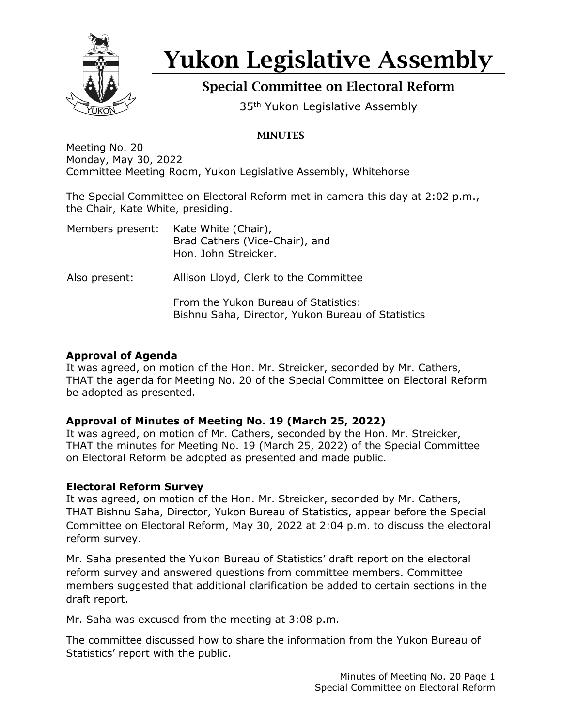

# Yukon Legislative Assembly

# Special Committee on Electoral Reform

35<sup>th</sup> Yukon Legislative Assembly

# **MINUTES**

Meeting No. 20 Monday, May 30, 2022 Committee Meeting Room, Yukon Legislative Assembly, Whitehorse

The Special Committee on Electoral Reform met in camera this day at 2:02 p.m., the Chair, Kate White, presiding.

| Members present: | Kate White (Chair),<br>Brad Cathers (Vice-Chair), and<br>Hon. John Streicker.             |
|------------------|-------------------------------------------------------------------------------------------|
| Also present:    | Allison Lloyd, Clerk to the Committee                                                     |
|                  | From the Yukon Bureau of Statistics:<br>Bishnu Saha, Director, Yukon Bureau of Statistics |

#### **Approval of Agenda**

It was agreed, on motion of the Hon. Mr. Streicker, seconded by Mr. Cathers, THAT the agenda for Meeting No. 20 of the Special Committee on Electoral Reform be adopted as presented.

## **Approval of Minutes of Meeting No. 19 (March 25, 2022)**

It was agreed, on motion of Mr. Cathers, seconded by the Hon. Mr. Streicker, THAT the minutes for Meeting No. 19 (March 25, 2022) of the Special Committee on Electoral Reform be adopted as presented and made public.

## **Electoral Reform Survey**

It was agreed, on motion of the Hon. Mr. Streicker, seconded by Mr. Cathers, THAT Bishnu Saha, Director, Yukon Bureau of Statistics, appear before the Special Committee on Electoral Reform, May 30, 2022 at 2:04 p.m. to discuss the electoral reform survey.

Mr. Saha presented the Yukon Bureau of Statistics' draft report on the electoral reform survey and answered questions from committee members. Committee members suggested that additional clarification be added to certain sections in the draft report.

Mr. Saha was excused from the meeting at 3:08 p.m.

The committee discussed how to share the information from the Yukon Bureau of Statistics' report with the public.